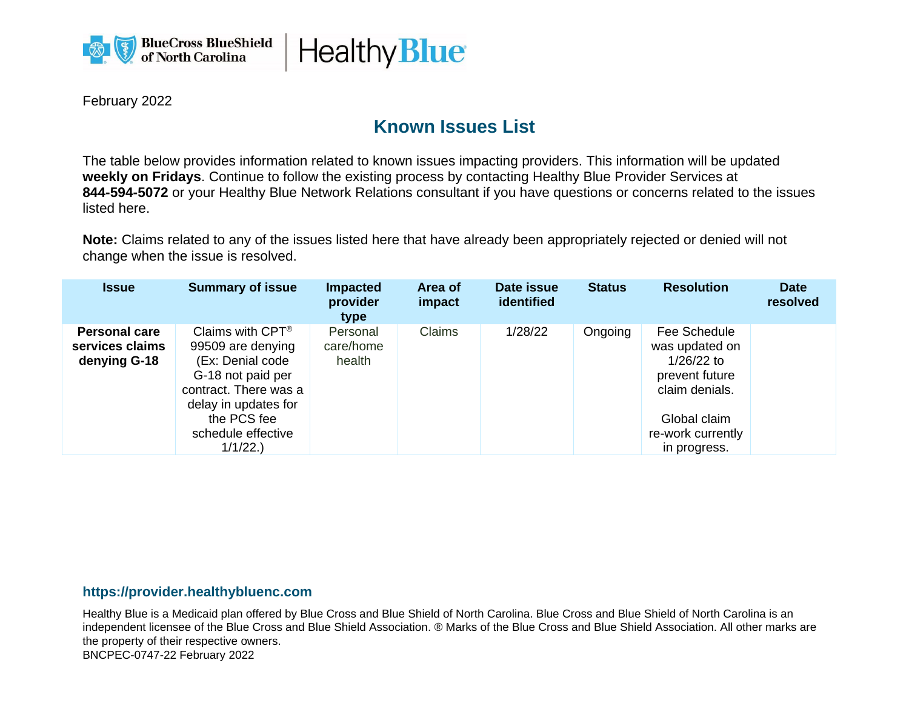



February 2022

## **Known Issues List**

The table below provides information related to known issues impacting providers. This information will be updated **weekly on Fridays**. Continue to follow the existing process by contacting Healthy Blue Provider Services at **844-594-5072** or your Healthy Blue Network Relations consultant if you have questions or concerns related to the issues listed here.

**Note:** Claims related to any of the issues listed here that have already been appropriately rejected or denied will not change when the issue is resolved.

| <b>Issue</b>                                            | <b>Summary of issue</b>                                                                                                                                                                      | <b>Impacted</b><br>provider<br>type | Area of<br>impact | Date issue<br>identified | <b>Status</b> | <b>Resolution</b>                                                                                                                       | <b>Date</b><br>resolved |
|---------------------------------------------------------|----------------------------------------------------------------------------------------------------------------------------------------------------------------------------------------------|-------------------------------------|-------------------|--------------------------|---------------|-----------------------------------------------------------------------------------------------------------------------------------------|-------------------------|
| <b>Personal care</b><br>services claims<br>denying G-18 | Claims with $CPT^{\circledR}$<br>99509 are denying<br>(Ex: Denial code<br>G-18 not paid per<br>contract. There was a<br>delay in updates for<br>the PCS fee<br>schedule effective<br>1/1/22. | Personal<br>care/home<br>health     | <b>Claims</b>     | 1/28/22                  | Ongoing       | Fee Schedule<br>was updated on<br>$1/26/22$ to<br>prevent future<br>claim denials.<br>Global claim<br>re-work currently<br>in progress. |                         |

## **https://provider.healthybluenc.com**

Healthy Blue is a Medicaid plan offered by Blue Cross and Blue Shield of North Carolina. Blue Cross and Blue Shield of North Carolina is an independent licensee of the Blue Cross and Blue Shield Association. ® Marks of the Blue Cross and Blue Shield Association. All other marks are the property of their respective owners. BNCPEC-0747-22 February 2022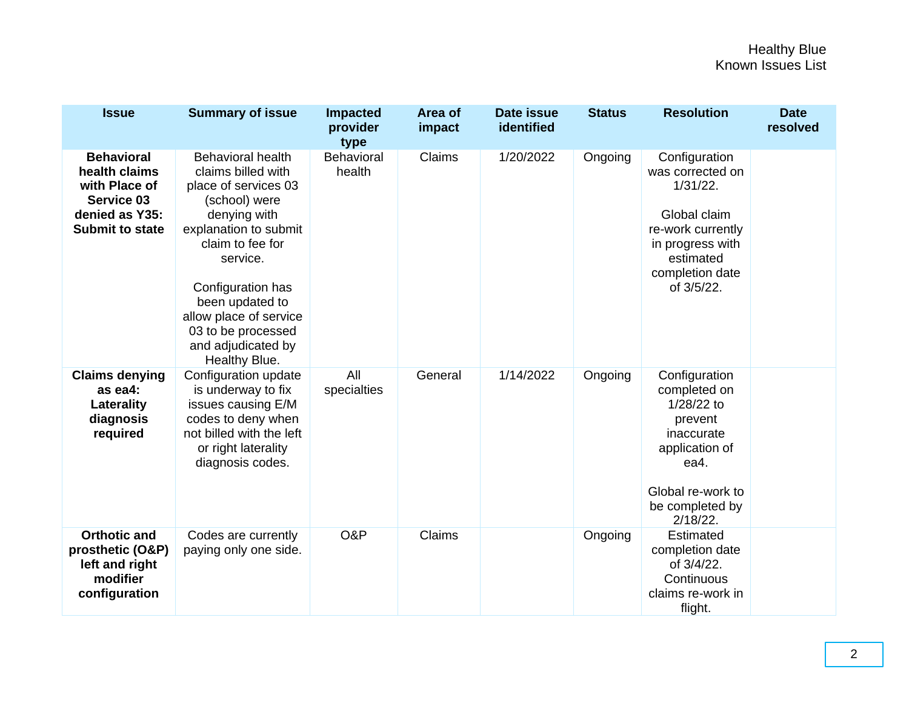| <b>Issue</b>                                                                                                  | <b>Summary of issue</b>                                                                                                                                                                                                                                                                         | <b>Impacted</b><br>provider<br>type | Area of<br>impact | <b>Date issue</b><br>identified | <b>Status</b> | <b>Resolution</b>                                                                                                                                       | <b>Date</b><br>resolved |
|---------------------------------------------------------------------------------------------------------------|-------------------------------------------------------------------------------------------------------------------------------------------------------------------------------------------------------------------------------------------------------------------------------------------------|-------------------------------------|-------------------|---------------------------------|---------------|---------------------------------------------------------------------------------------------------------------------------------------------------------|-------------------------|
| <b>Behavioral</b><br>health claims<br>with Place of<br>Service 03<br>denied as Y35:<br><b>Submit to state</b> | <b>Behavioral health</b><br>claims billed with<br>place of services 03<br>(school) were<br>denying with<br>explanation to submit<br>claim to fee for<br>service.<br>Configuration has<br>been updated to<br>allow place of service<br>03 to be processed<br>and adjudicated by<br>Healthy Blue. | Behavioral<br>health                | Claims            | 1/20/2022                       | Ongoing       | Configuration<br>was corrected on<br>$1/31/22$ .<br>Global claim<br>re-work currently<br>in progress with<br>estimated<br>completion date<br>of 3/5/22. |                         |
| <b>Claims denying</b><br>as ea4:<br>Laterality<br>diagnosis<br>required                                       | Configuration update<br>is underway to fix<br>issues causing E/M<br>codes to deny when<br>not billed with the left<br>or right laterality<br>diagnosis codes.                                                                                                                                   | All<br>specialties                  | General           | 1/14/2022                       | Ongoing       | Configuration<br>completed on<br>1/28/22 to<br>prevent<br>inaccurate<br>application of<br>ea4.<br>Global re-work to<br>be completed by<br>$2/18/22$ .   |                         |
| <b>Orthotic and</b><br>prosthetic (O&P)<br>left and right<br>modifier<br>configuration                        | Codes are currently<br>paying only one side.                                                                                                                                                                                                                                                    | O&P                                 | Claims            |                                 | Ongoing       | Estimated<br>completion date<br>of 3/4/22.<br>Continuous<br>claims re-work in<br>flight.                                                                |                         |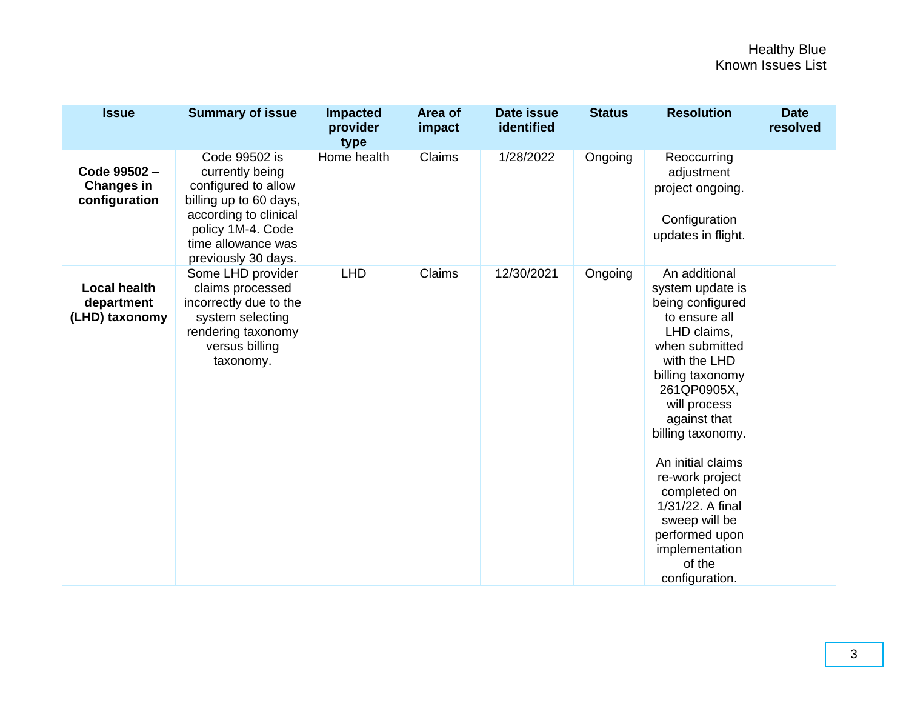| <b>Issue</b>                                        | <b>Summary of issue</b>                                                                                                                                                      | <b>Impacted</b><br>provider<br>type | Area of<br>impact | <b>Date issue</b><br>identified | <b>Status</b> | <b>Resolution</b>                                                                                                                                                                                                                                                                                                                                                            | <b>Date</b><br>resolved |
|-----------------------------------------------------|------------------------------------------------------------------------------------------------------------------------------------------------------------------------------|-------------------------------------|-------------------|---------------------------------|---------------|------------------------------------------------------------------------------------------------------------------------------------------------------------------------------------------------------------------------------------------------------------------------------------------------------------------------------------------------------------------------------|-------------------------|
| Code 99502-<br><b>Changes in</b><br>configuration   | Code 99502 is<br>currently being<br>configured to allow<br>billing up to 60 days,<br>according to clinical<br>policy 1M-4. Code<br>time allowance was<br>previously 30 days. | Home health                         | Claims            | 1/28/2022                       | Ongoing       | Reoccurring<br>adjustment<br>project ongoing.<br>Configuration<br>updates in flight.                                                                                                                                                                                                                                                                                         |                         |
| <b>Local health</b><br>department<br>(LHD) taxonomy | Some LHD provider<br>claims processed<br>incorrectly due to the<br>system selecting<br>rendering taxonomy<br>versus billing<br>taxonomy.                                     | <b>LHD</b>                          | Claims            | 12/30/2021                      | Ongoing       | An additional<br>system update is<br>being configured<br>to ensure all<br>LHD claims,<br>when submitted<br>with the LHD<br>billing taxonomy<br>261QP0905X,<br>will process<br>against that<br>billing taxonomy.<br>An initial claims<br>re-work project<br>completed on<br>1/31/22. A final<br>sweep will be<br>performed upon<br>implementation<br>of the<br>configuration. |                         |